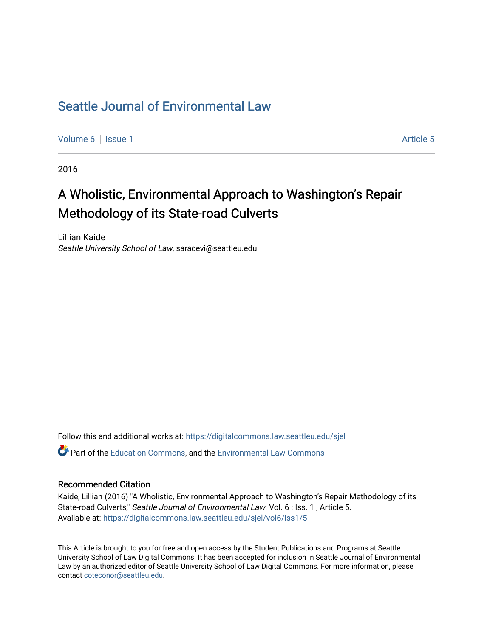## [Seattle Journal of Environmental Law](https://digitalcommons.law.seattleu.edu/sjel)

[Volume 6](https://digitalcommons.law.seattleu.edu/sjel/vol6) | [Issue 1](https://digitalcommons.law.seattleu.edu/sjel/vol6/iss1) Article 5

2016

# A Wholistic, Environmental Approach to Washington's Repair Methodology of its State-road Culverts

Lillian Kaide Seattle University School of Law, saracevi@seattleu.edu

Follow this and additional works at: [https://digitalcommons.law.seattleu.edu/sjel](https://digitalcommons.law.seattleu.edu/sjel?utm_source=digitalcommons.law.seattleu.edu%2Fsjel%2Fvol6%2Fiss1%2F5&utm_medium=PDF&utm_campaign=PDFCoverPages) 

**P** Part of the [Education Commons](http://network.bepress.com/hgg/discipline/784?utm_source=digitalcommons.law.seattleu.edu%2Fsjel%2Fvol6%2Fiss1%2F5&utm_medium=PDF&utm_campaign=PDFCoverPages), and the [Environmental Law Commons](http://network.bepress.com/hgg/discipline/599?utm_source=digitalcommons.law.seattleu.edu%2Fsjel%2Fvol6%2Fiss1%2F5&utm_medium=PDF&utm_campaign=PDFCoverPages)

#### Recommended Citation

Kaide, Lillian (2016) "A Wholistic, Environmental Approach to Washington's Repair Methodology of its State-road Culverts," Seattle Journal of Environmental Law: Vol. 6 : Iss. 1, Article 5. Available at: [https://digitalcommons.law.seattleu.edu/sjel/vol6/iss1/5](https://digitalcommons.law.seattleu.edu/sjel/vol6/iss1/5?utm_source=digitalcommons.law.seattleu.edu%2Fsjel%2Fvol6%2Fiss1%2F5&utm_medium=PDF&utm_campaign=PDFCoverPages) 

This Article is brought to you for free and open access by the Student Publications and Programs at Seattle University School of Law Digital Commons. It has been accepted for inclusion in Seattle Journal of Environmental Law by an authorized editor of Seattle University School of Law Digital Commons. For more information, please contact [coteconor@seattleu.edu](mailto:coteconor@seattleu.edu).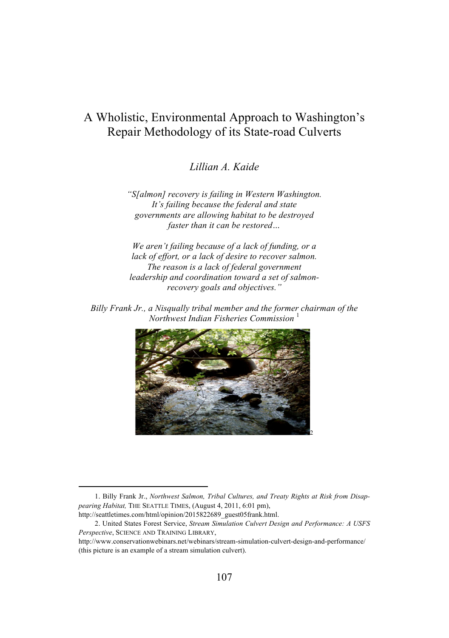### A Wholistic, Environmental Approach to Washington's Repair Methodology of its State-road Culverts

*Lillian A. Kaide*

*"S[almon] recovery is failing in Western Washington. It's failing because the federal and state governments are allowing habitat to be destroyed faster than it can be restored…*

*We aren't failing because of a lack of funding, or a lack of effort, or a lack of desire to recover salmon. The reason is a lack of federal government leadership and coordination toward a set of salmonrecovery goals and objectives."*

*Billy Frank Jr., a Nisqually tribal member and the former chairman of the*   $Northwest Indian Fisheries$  *Commission* 



 <sup>1.</sup> Billy Frank Jr., *Northwest Salmon, Tribal Cultures, and Treaty Rights at Risk from Disappearing Habitat,* THE SEATTLE TIMES, (August 4, 2011, 6:01 pm),

http://seattletimes.com/html/opinion/2015822689\_guest05frank.html.

<sup>2.</sup> United States Forest Service, *Stream Simulation Culvert Design and Performance: A USFS Perspective*, SCIENCE AND TRAINING LIBRARY,

http://www.conservationwebinars.net/webinars/stream-simulation-culvert-design-and-performance/ (this picture is an example of a stream simulation culvert).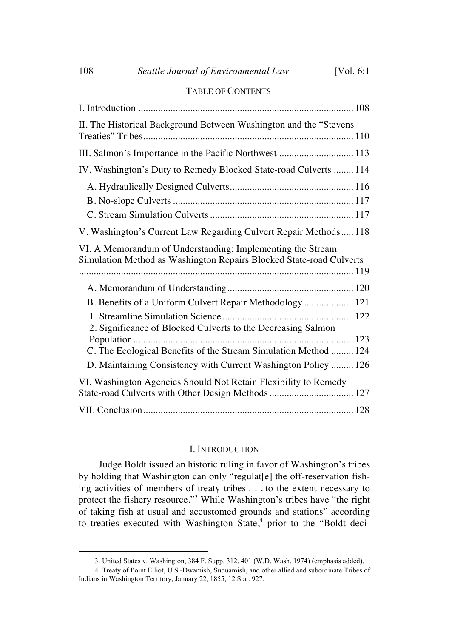#### TABLE OF CONTENTS

| II. The Historical Background Between Washington and the "Stevens                                                                 |
|-----------------------------------------------------------------------------------------------------------------------------------|
| III. Salmon's Importance in the Pacific Northwest  113                                                                            |
| IV. Washington's Duty to Remedy Blocked State-road Culverts  114                                                                  |
|                                                                                                                                   |
| V. Washington's Current Law Regarding Culvert Repair Methods 118                                                                  |
| VI. A Memorandum of Understanding: Implementing the Stream<br>Simulation Method as Washington Repairs Blocked State-road Culverts |
|                                                                                                                                   |
| B. Benefits of a Uniform Culvert Repair Methodology  121                                                                          |
| 2. Significance of Blocked Culverts to the Decreasing Salmon                                                                      |
| C. The Ecological Benefits of the Stream Simulation Method  124                                                                   |
| D. Maintaining Consistency with Current Washington Policy  126                                                                    |
| VI. Washington Agencies Should Not Retain Flexibility to Remedy<br>State-road Culverts with Other Design Methods  127             |
|                                                                                                                                   |

#### I. INTRODUCTION

Judge Boldt issued an historic ruling in favor of Washington's tribes by holding that Washington can only "regulat[e] the off-reservation fishing activities of members of treaty tribes . . . to the extent necessary to protect the fishery resource."<sup>3</sup> While Washington's tribes have "the right of taking fish at usual and accustomed grounds and stations" according to treaties executed with Washington State,<sup>4</sup> prior to the "Boldt deci-

 <sup>3.</sup> United States v. Washington, 384 F. Supp. 312, 401 (W.D. Wash. 1974) (emphasis added).

<sup>4.</sup> Treaty of Point Elliot, U.S.-Dwamish, Suquamish, and other allied and subordinate Tribes of Indians in Washington Territory, January 22, 1855, 12 Stat. 927.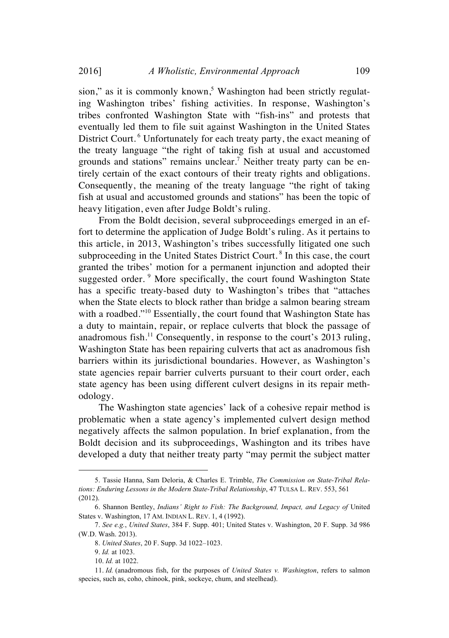sion," as it is commonly known, $5$  Washington had been strictly regulating Washington tribes' fishing activities. In response, Washington's tribes confronted Washington State with "fish-ins" and protests that eventually led them to file suit against Washington in the United States District Court.<sup>6</sup> Unfortunately for each treaty party, the exact meaning of the treaty language "the right of taking fish at usual and accustomed grounds and stations" remains unclear.<sup>7</sup> Neither treaty party can be entirely certain of the exact contours of their treaty rights and obligations. Consequently, the meaning of the treaty language "the right of taking fish at usual and accustomed grounds and stations" has been the topic of heavy litigation, even after Judge Boldt's ruling.

From the Boldt decision, several subproceedings emerged in an effort to determine the application of Judge Boldt's ruling. As it pertains to this article, in 2013, Washington's tribes successfully litigated one such subproceeding in the United States District Court.<sup>8</sup> In this case, the court granted the tribes' motion for a permanent injunction and adopted their suggested order. <sup>9</sup> More specifically, the court found Washington State has a specific treaty-based duty to Washington's tribes that "attaches when the State elects to block rather than bridge a salmon bearing stream with a roadbed."<sup>10</sup> Essentially, the court found that Washington State has a duty to maintain, repair, or replace culverts that block the passage of anadromous fish.<sup>11</sup> Consequently, in response to the court's 2013 ruling, Washington State has been repairing culverts that act as anadromous fish barriers within its jurisdictional boundaries. However, as Washington's state agencies repair barrier culverts pursuant to their court order, each state agency has been using different culvert designs in its repair methodology.

The Washington state agencies' lack of a cohesive repair method is problematic when a state agency's implemented culvert design method negatively affects the salmon population. In brief explanation, from the Boldt decision and its subproceedings, Washington and its tribes have developed a duty that neither treaty party "may permit the subject matter

 <sup>5.</sup> Tassie Hanna, Sam Deloria, & Charles E. Trimble, *The Commission on State-Tribal Relations: Enduring Lessons in the Modern State-Tribal Relationship*, 47 TULSA L. REV. 553, 561 (2012).

<sup>6.</sup> Shannon Bentley, *Indians' Right to Fish: The Background, Impact, and Legacy of* United States v. Washington, 17 AM. INDIAN L. REV. 1, 4 (1992).

<sup>7.</sup> *See e.g.*, *United States*, 384 F. Supp. 401; United States v. Washington, 20 F. Supp. 3d 986 (W.D. Wash. 2013).

<sup>8.</sup> *United States*, 20 F. Supp. 3d 1022–1023.

<sup>9.</sup> *Id.* at 1023.

<sup>10.</sup> *Id.* at 1022.

<sup>11.</sup> *Id.* (anadromous fish, for the purposes of *United States v. Washington*, refers to salmon species, such as, coho, chinook, pink, sockeye, chum, and steelhead).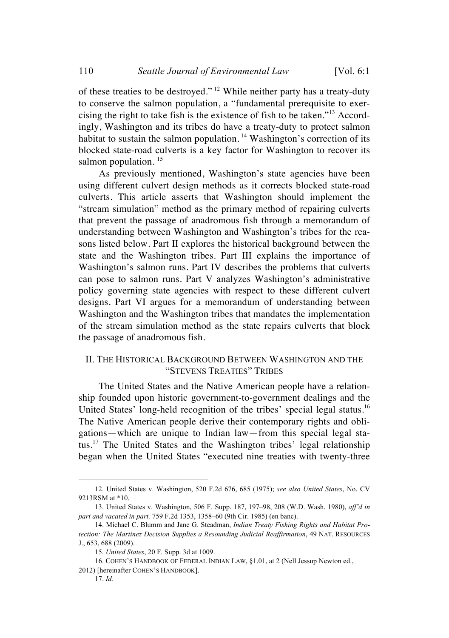of these treaties to be destroyed." <sup>12</sup> While neither party has a treaty-duty to conserve the salmon population, a "fundamental prerequisite to exercising the right to take fish is the existence of fish to be taken."<sup>13</sup> Accordingly, Washington and its tribes do have a treaty-duty to protect salmon habitat to sustain the salmon population.<sup>14</sup> Washington's correction of its blocked state-road culverts is a key factor for Washington to recover its salmon population.  $15$ 

As previously mentioned, Washington's state agencies have been using different culvert design methods as it corrects blocked state-road culverts. This article asserts that Washington should implement the "stream simulation" method as the primary method of repairing culverts that prevent the passage of anadromous fish through a memorandum of understanding between Washington and Washington's tribes for the reasons listed below. Part II explores the historical background between the state and the Washington tribes. Part III explains the importance of Washington's salmon runs. Part IV describes the problems that culverts can pose to salmon runs. Part V analyzes Washington's administrative policy governing state agencies with respect to these different culvert designs. Part VI argues for a memorandum of understanding between Washington and the Washington tribes that mandates the implementation of the stream simulation method as the state repairs culverts that block the passage of anadromous fish.

#### II. THE HISTORICAL BACKGROUND BETWEEN WASHINGTON AND THE "STEVENS TREATIES" TRIBES

The United States and the Native American people have a relationship founded upon historic government-to-government dealings and the United States' long-held recognition of the tribes' special legal status.<sup>16</sup> The Native American people derive their contemporary rights and obligations—which are unique to Indian law—from this special legal status.<sup>17</sup> The United States and the Washington tribes' legal relationship began when the United States "executed nine treaties with twenty-three

 <sup>12.</sup> United States v. Washington, 520 F.2d 676, 685 (1975); *see also United States*, No. CV 9213RSM at \*10.

<sup>13.</sup> United States v. Washington, 506 F. Supp. 187, 197–98, 208 (W.D. Wash. 1980), *aff'd in part and vacated in part,* 759 F.2d 1353, 1358–60 (9th Cir. 1985) (en banc).

<sup>14.</sup> Michael C. Blumm and Jane G. Steadman, *Indian Treaty Fishing Rights and Habitat Protection: The Martinez Decision Supplies a Resounding Judicial Reaffirmation*, 49 NAT. RESOURCES J., 653, 688 (2009).

<sup>15.</sup> *United States*, 20 F. Supp. 3d at 1009.

<sup>16.</sup> COHEN'S HANDBOOK OF FEDERAL INDIAN LAW, §1.01, at 2 (Nell Jessup Newton ed.,

<sup>2012) [</sup>hereinafter COHEN'S HANDBOOK].

<sup>17.</sup> *Id.*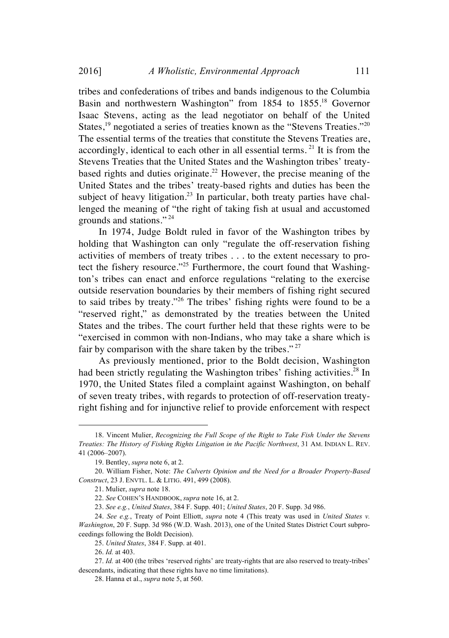tribes and confederations of tribes and bands indigenous to the Columbia Basin and northwestern Washington" from 1854 to 1855.<sup>18</sup> Governor Isaac Stevens, acting as the lead negotiator on behalf of the United States,<sup>19</sup> negotiated a series of treaties known as the "Stevens Treaties."<sup>20</sup> The essential terms of the treaties that constitute the Stevens Treaties are, accordingly, identical to each other in all essential terms.  $21$  It is from the Stevens Treaties that the United States and the Washington tribes' treatybased rights and duties originate.<sup>22</sup> However, the precise meaning of the United States and the tribes' treaty-based rights and duties has been the subject of heavy litigation.<sup>23</sup> In particular, both treaty parties have challenged the meaning of "the right of taking fish at usual and accustomed grounds and stations." <sup>24</sup>

In 1974, Judge Boldt ruled in favor of the Washington tribes by holding that Washington can only "regulate the off-reservation fishing activities of members of treaty tribes . . . to the extent necessary to protect the fishery resource."<sup>25</sup> Furthermore, the court found that Washington's tribes can enact and enforce regulations "relating to the exercise outside reservation boundaries by their members of fishing right secured to said tribes by treaty."<sup>26</sup> The tribes' fishing rights were found to be a "reserved right," as demonstrated by the treaties between the United States and the tribes. The court further held that these rights were to be "exercised in common with non-Indians, who may take a share which is fair by comparison with the share taken by the tribes." <sup>27</sup>

As previously mentioned, prior to the Boldt decision, Washington had been strictly regulating the Washington tribes' fishing activities.<sup>28</sup> In 1970, the United States filed a complaint against Washington, on behalf of seven treaty tribes, with regards to protection of off-reservation treatyright fishing and for injunctive relief to provide enforcement with respect

 <sup>18.</sup> Vincent Mulier, *Recognizing the Full Scope of the Right to Take Fish Under the Stevens Treaties: The History of Fishing Rights Litigation in the Pacific Northwest*, 31 AM. INDIAN L. REV. 41 (2006–2007).

<sup>19.</sup> Bentley, *supra* note 6, at 2.

<sup>20.</sup> William Fisher, Note: *The Culverts Opinion and the Need for a Broader Property-Based Construct*, 23 J. ENVTL. L. & LITIG. 491, 499 (2008).

<sup>21.</sup> Mulier, *supra* note 18.

<sup>22.</sup> *See* COHEN'S HANDBOOK, *supra* note 16, at 2.

<sup>23.</sup> *See e.g.*, *United States*, 384 F. Supp. 401; *United States*, 20 F. Supp. 3d 986.

<sup>24.</sup> *See e.g.*, Treaty of Point Elliott, *supra* note 4 (This treaty was used in *United States v. Washington*, 20 F. Supp. 3d 986 (W.D. Wash. 2013), one of the United States District Court subproceedings following the Boldt Decision).

<sup>25.</sup> *United States*, 384 F. Supp. at 401.

<sup>26.</sup> *Id.* at 403.

<sup>27.</sup> *Id.* at 400 (the tribes 'reserved rights' are treaty-rights that are also reserved to treaty-tribes' descendants, indicating that these rights have no time limitations).

<sup>28.</sup> Hanna et al., *supra* note 5, at 560.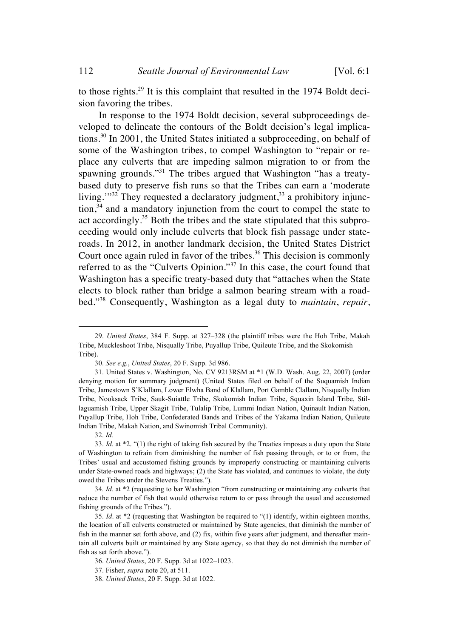112 *Seattle Journal of Environmental Law* [Vol. 6:1

to those rights.<sup>29</sup> It is this complaint that resulted in the 1974 Boldt decision favoring the tribes.

In response to the 1974 Boldt decision, several subproceedings developed to delineate the contours of the Boldt decision's legal implications.<sup>30</sup> In 2001, the United States initiated a subproceeding, on behalf of some of the Washington tribes, to compel Washington to "repair or replace any culverts that are impeding salmon migration to or from the spawning grounds."<sup>31</sup> The tribes argued that Washington "has a treatybased duty to preserve fish runs so that the Tribes can earn a 'moderate living." $32 \text{ They requested a declaratory judgment}$ , a prohibitory injunction, $34$  and a mandatory injunction from the court to compel the state to act accordingly.<sup>35</sup> Both the tribes and the state stipulated that this subproceeding would only include culverts that block fish passage under stateroads. In 2012, in another landmark decision, the United States District Court once again ruled in favor of the tribes.<sup>36</sup> This decision is commonly referred to as the "Culverts Opinion."<sup>37</sup> In this case, the court found that Washington has a specific treaty-based duty that "attaches when the State elects to block rather than bridge a salmon bearing stream with a roadbed."<sup>38</sup> Consequently, Washington as a legal duty to *maintain*, *repair*,

 <sup>29.</sup> *United States*, 384 F. Supp. at 327–328 (the plaintiff tribes were the Hoh Tribe, Makah Tribe, Muckleshoot Tribe, Nisqually Tribe, Puyallup Tribe, Quileute Tribe, and the Skokomish Tribe).

<sup>30.</sup> *See e.g.*, *United States*, 20 F. Supp. 3d 986.

<sup>31.</sup> United States v. Washington, No. CV 9213RSM at \*1 (W.D. Wash. Aug. 22, 2007) (order denying motion for summary judgment) (United States filed on behalf of the Suquamish Indian Tribe, Jamestown S'Klallam, Lower Elwha Band of Klallam, Port Gamble Clallam, Nisqually Indian Tribe, Nooksack Tribe, Sauk-Suiattle Tribe, Skokomish Indian Tribe, Squaxin Island Tribe, Stillaguamish Tribe, Upper Skagit Tribe, Tulalip Tribe, Lummi Indian Nation, Quinault Indian Nation, Puyallup Tribe, Hoh Tribe, Confederated Bands and Tribes of the Yakama Indian Nation, Quileute Indian Tribe, Makah Nation, and Swinomish Tribal Community).

<sup>32.</sup> *Id.*

<sup>33.</sup> *Id.* at \*2. "(1) the right of taking fish secured by the Treaties imposes a duty upon the State of Washington to refrain from diminishing the number of fish passing through, or to or from, the Tribes' usual and accustomed fishing grounds by improperly constructing or maintaining culverts under State-owned roads and highways; (2) the State has violated, and continues to violate, the duty owed the Tribes under the Stevens Treaties.").

<sup>34</sup>*. Id*. at \*2 (requesting to bar Washington "from constructing or maintaining any culverts that reduce the number of fish that would otherwise return to or pass through the usual and accustomed fishing grounds of the Tribes.").

<sup>35.</sup> *Id*. at \*2 (requesting that Washington be required to "(1) identify, within eighteen months, the location of all culverts constructed or maintained by State agencies, that diminish the number of fish in the manner set forth above, and (2) fix, within five years after judgment, and thereafter maintain all culverts built or maintained by any State agency, so that they do not diminish the number of fish as set forth above.").

<sup>36.</sup> *United States*, 20 F. Supp. 3d at 1022–1023.

<sup>37.</sup> Fisher, *supra* note 20, at 511.

<sup>38.</sup> *United States*, 20 F. Supp. 3d at 1022.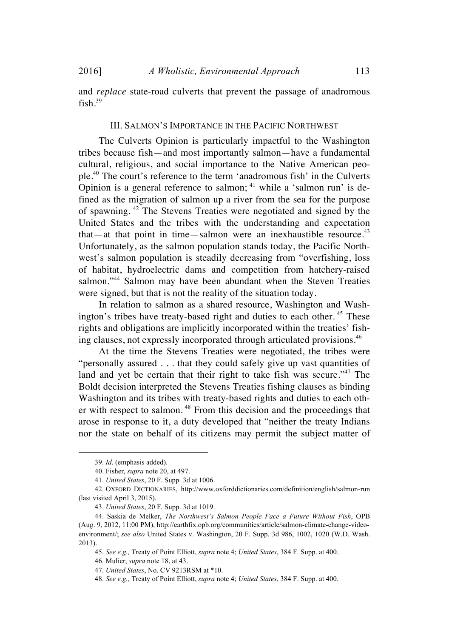and *replace* state-road culverts that prevent the passage of anadromous fish  $39$ 

#### III. SALMON'S IMPORTANCE IN THE PACIFIC NORTHWEST

The Culverts Opinion is particularly impactful to the Washington tribes because fish—and most importantly salmon—have a fundamental cultural, religious, and social importance to the Native American people.40 The court's reference to the term 'anadromous fish' in the Culverts Opinion is a general reference to salmon;  $41$  while a 'salmon run' is defined as the migration of salmon up a river from the sea for the purpose of spawning. <sup>42</sup> The Stevens Treaties were negotiated and signed by the United States and the tribes with the understanding and expectation that—at that point in time—salmon were an inexhaustible resource. $43$ Unfortunately, as the salmon population stands today, the Pacific Northwest's salmon population is steadily decreasing from "overfishing, loss of habitat, hydroelectric dams and competition from hatchery-raised salmon."<sup>44</sup> Salmon may have been abundant when the Steven Treaties were signed, but that is not the reality of the situation today.

In relation to salmon as a shared resource, Washington and Washington's tribes have treaty-based right and duties to each other.<sup>45</sup> These rights and obligations are implicitly incorporated within the treaties' fishing clauses, not expressly incorporated through articulated provisions.<sup>46</sup>

At the time the Stevens Treaties were negotiated, the tribes were "personally assured . . . that they could safely give up vast quantities of land and yet be certain that their right to take fish was secure."<sup>47</sup> The Boldt decision interpreted the Stevens Treaties fishing clauses as binding Washington and its tribes with treaty-based rights and duties to each other with respect to salmon. <sup>48</sup> From this decision and the proceedings that arose in response to it, a duty developed that "neither the treaty Indians nor the state on behalf of its citizens may permit the subject matter of

 <sup>39.</sup> *Id*. (emphasis added).

<sup>40.</sup> Fisher, *supra* note 20, at 497.

<sup>41.</sup> *United States*, 20 F. Supp. 3d at 1006.

<sup>42.</sup> OXFORD DICTIONARIES, http://www.oxforddictionaries.com/definition/english/salmon-run (last visited April 3, 2015).

<sup>43.</sup> *United States*, 20 F. Supp. 3d at 1019.

<sup>44.</sup> Saskia de Melker, *The Northwest's Salmon People Face a Future Without Fish*, OPB (Aug. 9, 2012, 11:00 PM), http://earthfix.opb.org/communities/article/salmon-climate-change-videoenvironment/; *see also* United States v. Washington, 20 F. Supp. 3d 986, 1002, 1020 (W.D. Wash. 2013).

<sup>45.</sup> *See e.g.,* Treaty of Point Elliott, *supra* note 4; *United States*, 384 F. Supp. at 400.

<sup>46.</sup> Mulier, *supra* note 18, at 43.

<sup>47.</sup> *United States*, No. CV 9213RSM at \*10.

<sup>48.</sup> *See e.g.,* Treaty of Point Elliott, *supra* note 4; *United States*, 384 F. Supp. at 400.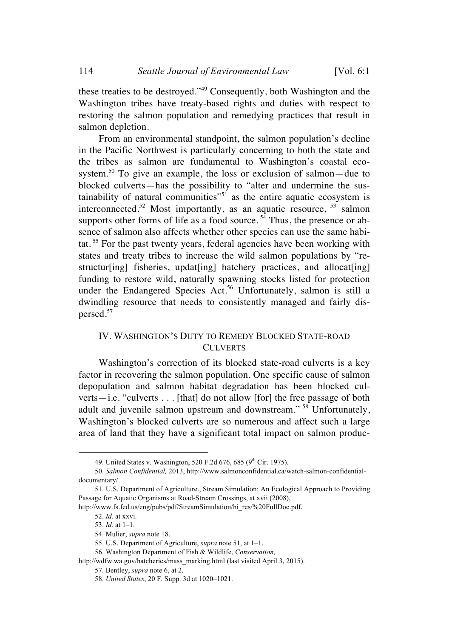these treaties to be destroyed."<sup>49</sup> Consequently, both Washington and the Washington tribes have treaty-based rights and duties with respect to restoring the salmon population and remedying practices that result in salmon depletion.

From an environmental standpoint, the salmon population's decline in the Pacific Northwest is particularly concerning to both the state and the tribes as salmon are fundamental to Washington's coastal ecosystem.<sup>50</sup> To give an example, the loss or exclusion of salmon—due to blocked culverts—has the possibility to "alter and undermine the sustainability of natural communities $^{51}$  as the entire aquatic ecosystem is interconnected.<sup>52</sup> Most importantly, as an aquatic resource,  $^{53}$  salmon supports other forms of life as a food source.<sup> $5\frac{3}{4}$ </sup> Thus, the presence or absence of salmon also affects whether other species can use the same habitat. <sup>55</sup> For the past twenty years, federal agencies have been working with states and treaty tribes to increase the wild salmon populations by "restructur[ing] fisheries, updat[ing] hatchery practices, and allocat[ing] funding to restore wild, naturally spawning stocks listed for protection under the Endangered Species Act.<sup>56</sup> Unfortunately, salmon is still a dwindling resource that needs to consistently managed and fairly dispersed.<sup>57</sup>

#### IV. WASHINGTON'S DUTY TO REMEDY BLOCKED STATE-ROAD **CULVERTS**

Washington's correction of its blocked state-road culverts is a key factor in recovering the salmon population. One specific cause of salmon depopulation and salmon habitat degradation has been blocked culverts—i.e. "culverts . . . [that] do not allow [for] the free passage of both adult and juvenile salmon upstream and downstream." <sup>58</sup> Unfortunately, Washington's blocked culverts are so numerous and affect such a large area of land that they have a significant total impact on salmon produc-

<sup>49.</sup> United States v. Washington, 520 F.2d 676, 685 (9<sup>th</sup> Cir. 1975).

<sup>50.</sup> *Salmon Confidential,* 2013, http://www.salmonconfidential.ca/watch-salmon-confidentialdocumentary/.

<sup>51.</sup> U.S. Department of Agriculture., Stream Simulation: An Ecological Approach to Providing Passage for Aquatic Organisms at Road-Stream Crossings, at xvii (2008),

http://www.fs.fed.us/eng/pubs/pdf/StreamSimulation/hi\_res/%20FullDoc.pdf.

<sup>52.</sup> *Id.* at xxvi.

<sup>53.</sup> *Id.* at 1–1.

<sup>54.</sup> Mulier, *supra* note 18.

<sup>55.</sup> U.S. Department of Agriculture, *supra* note 51, at 1–1.

<sup>56.</sup> Washington Department of Fish & Wildlife, *Conservation,*

http://wdfw.wa.gov/hatcheries/mass\_marking.html (last visited April 3, 2015).

<sup>57.</sup> Bentley, *supra* note 6, at 2.

<sup>58.</sup> *United States*, 20 F. Supp. 3d at 1020–1021.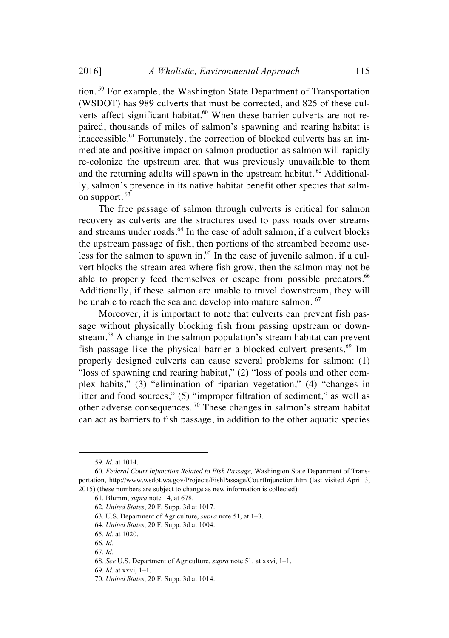tion. <sup>59</sup> For example, the Washington State Department of Transportation (WSDOT) has 989 culverts that must be corrected, and 825 of these culverts affect significant habitat.<sup>60</sup> When these barrier culverts are not repaired, thousands of miles of salmon's spawning and rearing habitat is inaccessible.<sup>61</sup> Fortunately, the correction of blocked culverts has an immediate and positive impact on salmon production as salmon will rapidly re-colonize the upstream area that was previously unavailable to them and the returning adults will spawn in the upstream habitat.  $62$  Additionally, salmon's presence in its native habitat benefit other species that salmon support. 63

The free passage of salmon through culverts is critical for salmon recovery as culverts are the structures used to pass roads over streams and streams under roads. $64$  In the case of adult salmon, if a culvert blocks the upstream passage of fish, then portions of the streambed become useless for the salmon to spawn in.<sup>65</sup> In the case of juvenile salmon, if a culvert blocks the stream area where fish grow, then the salmon may not be able to properly feed themselves or escape from possible predators.<sup>66</sup> Additionally, if these salmon are unable to travel downstream, they will be unable to reach the sea and develop into mature salmon. <sup>67</sup>

Moreover, it is important to note that culverts can prevent fish passage without physically blocking fish from passing upstream or downstream.<sup>68</sup> A change in the salmon population's stream habitat can prevent fish passage like the physical barrier a blocked culvert presents.<sup>69</sup> Improperly designed culverts can cause several problems for salmon: (1) "loss of spawning and rearing habitat," (2) "loss of pools and other complex habits," (3) "elimination of riparian vegetation," (4) "changes in litter and food sources," (5) "improper filtration of sediment," as well as other adverse consequences. <sup>70</sup> These changes in salmon's stream habitat can act as barriers to fish passage, in addition to the other aquatic species

 <sup>59.</sup> *Id.* at 1014.

<sup>60.</sup> *Federal Court Injunction Related to Fish Passage,* Washington State Department of Transportation, http://www.wsdot.wa.gov/Projects/FishPassage/CourtInjunction.htm (last visited April 3, 2015) (these numbers are subject to change as new information is collected).

<sup>61.</sup> Blumm, *supra* note 14, at 678.

<sup>62</sup>*. United States*, 20 F. Supp. 3d at 1017.

<sup>63.</sup> U.S. Department of Agriculture, *supra* note 51, at 1–3.

<sup>64.</sup> *United States*, 20 F. Supp. 3d at 1004.

<sup>65.</sup> *Id.* at 1020.

<sup>66.</sup> *Id.*

<sup>67.</sup> *Id.*

<sup>68.</sup> *See* U.S. Department of Agriculture, *supra* note 51, at xxvi, 1–1.

<sup>69.</sup> *Id.* at xxvi, 1–1.

<sup>70.</sup> *United States*, 20 F. Supp. 3d at 1014.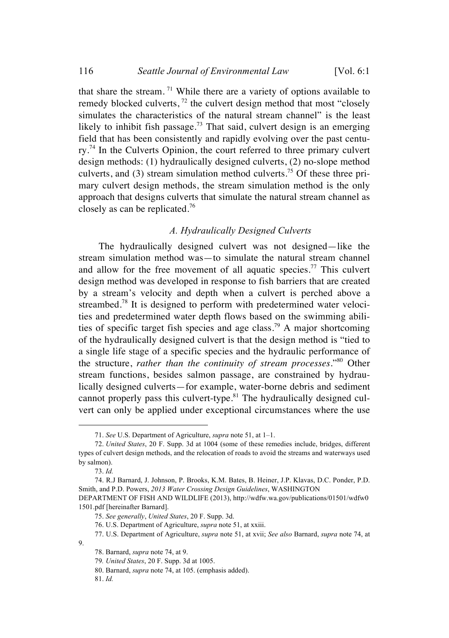that share the stream.<sup>71</sup> While there are a variety of options available to remedy blocked culverts,  $^{72}$  the culvert design method that most "closely" simulates the characteristics of the natural stream channel" is the least likely to inhibit fish passage.<sup>73</sup> That said, culvert design is an emerging field that has been consistently and rapidly evolving over the past centu $rv<sup>74</sup>$  In the Culverts Opinion, the court referred to three primary culvert design methods: (1) hydraulically designed culverts, (2) no-slope method culverts, and  $(3)$  stream simulation method culverts.<sup>75</sup> Of these three primary culvert design methods, the stream simulation method is the only approach that designs culverts that simulate the natural stream channel as closely as can be replicated.<sup>76</sup>

#### *A. Hydraulically Designed Culverts*

The hydraulically designed culvert was not designed—like the stream simulation method was—to simulate the natural stream channel and allow for the free movement of all aquatic species.<sup>77</sup> This culvert design method was developed in response to fish barriers that are created by a stream's velocity and depth when a culvert is perched above a streambed.<sup>78</sup> It is designed to perform with predetermined water velocities and predetermined water depth flows based on the swimming abilities of specific target fish species and age class.<sup>79</sup> A major shortcoming of the hydraulically designed culvert is that the design method is "tied to a single life stage of a specific species and the hydraulic performance of the structure, *rather than the continuity of stream processes*."<sup>80</sup> Other stream functions, besides salmon passage, are constrained by hydraulically designed culverts—for example, water-borne debris and sediment cannot properly pass this culvert-type. $81$  The hydraulically designed culvert can only be applied under exceptional circumstances where the use

81. *Id.*

9.

 <sup>71.</sup> *See* U.S. Department of Agriculture, *supra* note 51, at 1–1.

<sup>72.</sup> *United States*, 20 F. Supp. 3d at 1004 (some of these remedies include, bridges, different types of culvert design methods, and the relocation of roads to avoid the streams and waterways used by salmon).

<sup>73.</sup> *Id.*

<sup>74.</sup> R.J Barnard, J. Johnson, P. Brooks, K.M. Bates, B. Heiner, J.P. Klavas, D.C. Ponder, P.D. Smith, and P.D. Powers, *2013 Water Crossing Design Guidelines*, WASHINGTON

DEPARTMENT OF FISH AND WILDLIFE (2013), http://wdfw.wa.gov/publications/01501/wdfw0 1501.pdf [hereinafter Barnard].

<sup>75.</sup> *See generally*, *United States*, 20 F. Supp. 3d.

<sup>76.</sup> U.S. Department of Agriculture, *supra* note 51, at xxiii.

<sup>77.</sup> U.S. Department of Agriculture, *supra* note 51, at xvii; *See also* Barnard, *supra* note 74, at

<sup>78.</sup> Barnard, *supra* note 74, at 9.

<sup>79</sup>*. United States*, 20 F. Supp. 3d at 1005.

<sup>80.</sup> Barnard, *supra* note 74, at 105. (emphasis added).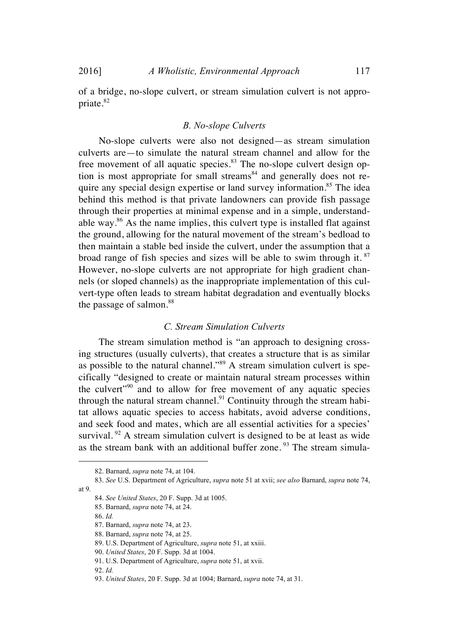of a bridge, no-slope culvert, or stream simulation culvert is not appropriate.<sup>82</sup>

#### *B. No-slope Culverts*

No-slope culverts were also not designed—as stream simulation culverts are—to simulate the natural stream channel and allow for the free movement of all aquatic species.<sup>83</sup> The no-slope culvert design option is most appropriate for small streams $84$  and generally does not require any special design expertise or land survey information.<sup>85</sup> The idea behind this method is that private landowners can provide fish passage through their properties at minimal expense and in a simple, understandable way. $86$  As the name implies, this culvert type is installed flat against the ground, allowing for the natural movement of the stream's bedload to then maintain a stable bed inside the culvert, under the assumption that a broad range of fish species and sizes will be able to swim through it. <sup>87</sup> However, no-slope culverts are not appropriate for high gradient channels (or sloped channels) as the inappropriate implementation of this culvert-type often leads to stream habitat degradation and eventually blocks the passage of salmon. $88$ 

#### *C. Stream Simulation Culverts*

The stream simulation method is "an approach to designing crossing structures (usually culverts), that creates a structure that is as similar as possible to the natural channel."<sup>89</sup> A stream simulation culvert is specifically "designed to create or maintain natural stream processes within the culvert"<sup>90</sup> and to allow for free movement of any aquatic species through the natural stream channel.<sup>91</sup> Continuity through the stream habitat allows aquatic species to access habitats, avoid adverse conditions, and seek food and mates, which are all essential activities for a species' survival. <sup>92</sup> A stream simulation culvert is designed to be at least as wide as the stream bank with an additional buffer zone.  $93$  The stream simula-

 <sup>82.</sup> Barnard, *supra* note 74, at 104.

<sup>83.</sup> *See* U.S. Department of Agriculture, *supra* note 51 at xvii; *see also* Barnard, *supra* note 74, at 9.

<sup>84.</sup> *See United States*, 20 F. Supp. 3d at 1005.

<sup>85.</sup> Barnard, *supra* note 74, at 24.

<sup>86.</sup> *Id.*

<sup>87.</sup> Barnard, *supra* note 74, at 23.

<sup>88.</sup> Barnard, *supra* note 74, at 25.

<sup>89.</sup> U.S. Department of Agriculture, *supra* note 51, at xxiii.

<sup>90.</sup> *United States*, 20 F. Supp. 3d at 1004.

<sup>91.</sup> U.S. Department of Agriculture, *supra* note 51, at xvii.

<sup>92.</sup> *Id.*

<sup>93.</sup> *United States*, 20 F. Supp. 3d at 1004; Barnard, *supra* note 74, at 31.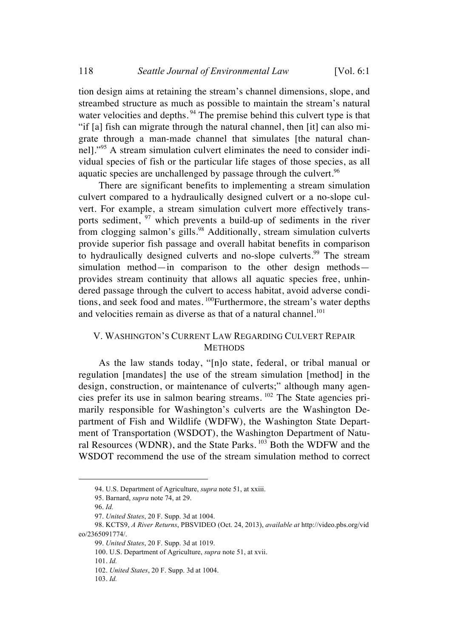tion design aims at retaining the stream's channel dimensions, slope, and streambed structure as much as possible to maintain the stream's natural water velocities and depths.<sup>94</sup> The premise behind this culvert type is that "if [a] fish can migrate through the natural channel, then [it] can also migrate through a man-made channel that simulates [the natural channell."<sup>95</sup> A stream simulation culvert eliminates the need to consider individual species of fish or the particular life stages of those species, as all aquatic species are unchallenged by passage through the culvert.<sup>96</sup>

There are significant benefits to implementing a stream simulation culvert compared to a hydraulically designed culvert or a no-slope culvert. For example, a stream simulation culvert more effectively transports sediment,  $97$  which prevents a build-up of sediments in the river from clogging salmon's gills.<sup>98</sup> Additionally, stream simulation culverts provide superior fish passage and overall habitat benefits in comparison to hydraulically designed culverts and no-slope culverts.<sup>99</sup> The stream simulation method—in comparison to the other design methods provides stream continuity that allows all aquatic species free, unhindered passage through the culvert to access habitat, avoid adverse conditions, and seek food and mates. <sup>100</sup>Furthermore, the stream's water depths and velocities remain as diverse as that of a natural channel.<sup>101</sup>

#### V. WASHINGTON'S CURRENT LAW REGARDING CULVERT REPAIR **METHODS**

As the law stands today, "[n]o state, federal, or tribal manual or regulation [mandates] the use of the stream simulation [method] in the design, construction, or maintenance of culverts;" although many agencies prefer its use in salmon bearing streams. <sup>102</sup> The State agencies primarily responsible for Washington's culverts are the Washington Department of Fish and Wildlife (WDFW), the Washington State Department of Transportation (WSDOT), the Washington Department of Natural Resources (WDNR), and the State Parks. <sup>103</sup> Both the WDFW and the WSDOT recommend the use of the stream simulation method to correct

 <sup>94.</sup> U.S. Department of Agriculture, *supra* note 51, at xxiii.

<sup>95.</sup> Barnard, *supra* note 74, at 29.

<sup>96.</sup> *Id.*

<sup>97.</sup> *United States*, 20 F. Supp. 3d at 1004.

<sup>98.</sup> KCTS9, *A River Returns*, PBSVIDEO (Oct. 24, 2013), *available at* http://video.pbs.org/vid eo/2365091774/.

<sup>99.</sup> *United States*, 20 F. Supp. 3d at 1019.

<sup>100.</sup> U.S. Department of Agriculture, *supra* note 51, at xvii.

<sup>101.</sup> *Id.*

<sup>102.</sup> *United States*, 20 F. Supp. 3d at 1004.

<sup>103.</sup> *Id.*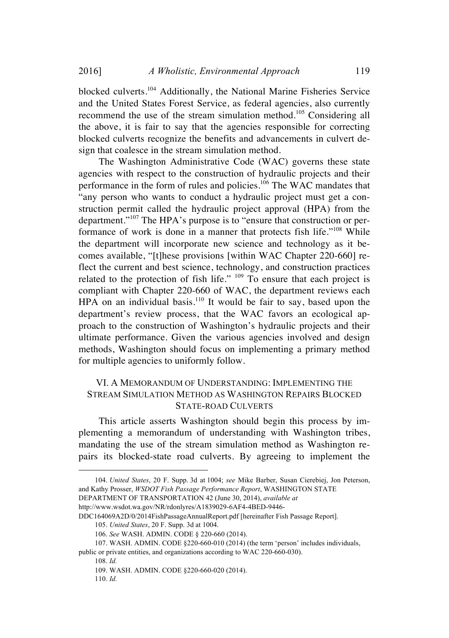blocked culverts.<sup>104</sup> Additionally, the National Marine Fisheries Service and the United States Forest Service, as federal agencies, also currently recommend the use of the stream simulation method.<sup>105</sup> Considering all the above, it is fair to say that the agencies responsible for correcting blocked culverts recognize the benefits and advancements in culvert design that coalesce in the stream simulation method.

The Washington Administrative Code (WAC) governs these state agencies with respect to the construction of hydraulic projects and their performance in the form of rules and policies.<sup>106</sup> The WAC mandates that "any person who wants to conduct a hydraulic project must get a construction permit called the hydraulic project approval (HPA) from the department."<sup>107</sup> The HPA's purpose is to "ensure that construction or performance of work is done in a manner that protects fish life."<sup>108</sup> While the department will incorporate new science and technology as it becomes available, "[t]hese provisions [within WAC Chapter 220-660] reflect the current and best science, technology, and construction practices related to the protection of fish life." <sup>109</sup> To ensure that each project is compliant with Chapter 220-660 of WAC, the department reviews each HPA on an individual basis.<sup>110</sup> It would be fair to say, based upon the department's review process, that the WAC favors an ecological approach to the construction of Washington's hydraulic projects and their ultimate performance. Given the various agencies involved and design methods, Washington should focus on implementing a primary method for multiple agencies to uniformly follow.

#### VI. A MEMORANDUM OF UNDERSTANDING: IMPLEMENTING THE STREAM SIMULATION METHOD AS WASHINGTON REPAIRS BLOCKED STATE-ROAD CULVERTS

This article asserts Washington should begin this process by implementing a memorandum of understanding with Washington tribes, mandating the use of the stream simulation method as Washington repairs its blocked-state road culverts. By agreeing to implement the

 <sup>104.</sup> *United States*, 20 F. Supp. 3d at 1004; *see* Mike Barber, Susan Cierebiej, Jon Peterson, and Kathy Prosser, *WSDOT Fish Passage Performance Report*, WASHINGTON STATE

DEPARTMENT OF TRANSPORTATION 42 (June 30, 2014), *available at*

http://www.wsdot.wa.gov/NR/rdonlyres/A1839029-6AF4-4BED-9446-

DDC164069A2D/0/2014FishPassageAnnualReport.pdf [hereinafter Fish Passage Report].

<sup>105.</sup> *United States*, 20 F. Supp. 3d at 1004.

<sup>106.</sup> *See* WASH. ADMIN. CODE § 220-660 (2014).

<sup>107.</sup> WASH. ADMIN. CODE §220-660-010 (2014) (the term 'person' includes individuals, public or private entities, and organizations according to WAC 220-660-030).

<sup>108.</sup> *Id.*

<sup>109.</sup> WASH. ADMIN. CODE §220-660-020 (2014).

<sup>110.</sup> *Id.*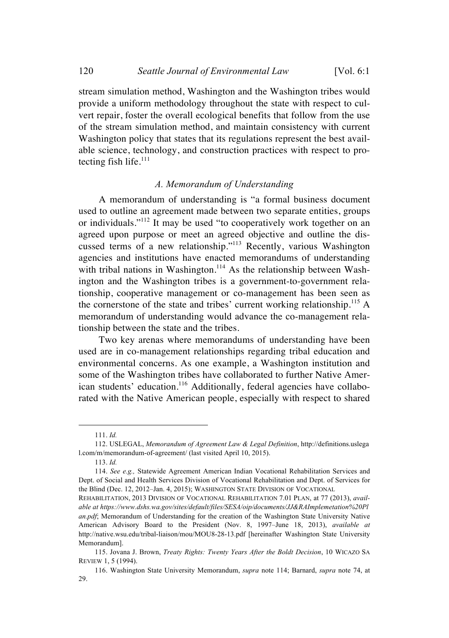stream simulation method, Washington and the Washington tribes would provide a uniform methodology throughout the state with respect to culvert repair, foster the overall ecological benefits that follow from the use of the stream simulation method, and maintain consistency with current Washington policy that states that its regulations represent the best available science, technology, and construction practices with respect to protecting fish life.<sup>111</sup>

#### *A. Memorandum of Understanding*

A memorandum of understanding is "a formal business document used to outline an agreement made between two separate entities, groups or individuals."112 It may be used "to cooperatively work together on an agreed upon purpose or meet an agreed objective and outline the discussed terms of a new relationship."113 Recently, various Washington agencies and institutions have enacted memorandums of understanding with tribal nations in Washington.<sup>114</sup> As the relationship between Washington and the Washington tribes is a government-to-government relationship, cooperative management or co-management has been seen as the cornerstone of the state and tribes' current working relationship.<sup>115</sup> A memorandum of understanding would advance the co-management relationship between the state and the tribes.

Two key arenas where memorandums of understanding have been used are in co-management relationships regarding tribal education and environmental concerns. As one example, a Washington institution and some of the Washington tribes have collaborated to further Native American students' education.<sup>116</sup> Additionally, federal agencies have collaborated with the Native American people, especially with respect to shared

 <sup>111.</sup> *Id.*

<sup>112.</sup> USLEGAL, *Memorandum of Agreement Law & Legal Definition*, http://definitions.uslega l.com/m/memorandum-of-agreement/ (last visited April 10, 2015).

<sup>113.</sup> *Id.*

<sup>114.</sup> *See e.g.,* Statewide Agreement American Indian Vocational Rehabilitation Services and Dept. of Social and Health Services Division of Vocational Rehabilitation and Dept. of Services for the Blind (Dec. 12, 2012–Jan. 4, 2015); WASHINGTON STATE DIVISION OF VOCATIONAL

REHABILITATION, 2013 DIVISION OF VOCATIONAL REHABILITATION 7.01 PLAN, at 77 (2013), *available at https://www.dshs.wa.gov/sites/default/files/SESA/oip/documents/JJ&RAImplemetation%20Pl an.pdf*; Memorandum of Understanding for the creation of the Washington State University Native American Advisory Board to the President (Nov. 8, 1997–June 18, 2013), *available at* http://native.wsu.edu/tribal-liaison/mou/MOU8-28-13.pdf [hereinafter Washington State University Memorandum].

<sup>115.</sup> Jovana J. Brown, *Treaty Rights: Twenty Years After the Boldt Decision*, 10 WICAZO SA REVIEW 1, 5 (1994).

<sup>116.</sup> Washington State University Memorandum, *supra* note 114; Barnard, *supra* note 74, at 29.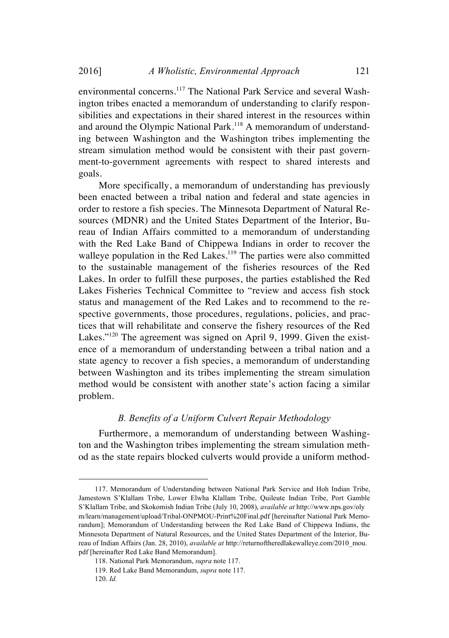environmental concerns.<sup>117</sup> The National Park Service and several Washington tribes enacted a memorandum of understanding to clarify responsibilities and expectations in their shared interest in the resources within and around the Olympic National Park.<sup>118</sup> A memorandum of understanding between Washington and the Washington tribes implementing the stream simulation method would be consistent with their past government-to-government agreements with respect to shared interests and goals.

More specifically, a memorandum of understanding has previously been enacted between a tribal nation and federal and state agencies in order to restore a fish species. The Minnesota Department of Natural Resources (MDNR) and the United States Department of the Interior, Bureau of Indian Affairs committed to a memorandum of understanding with the Red Lake Band of Chippewa Indians in order to recover the walleye population in the Red Lakes.<sup>119</sup> The parties were also committed to the sustainable management of the fisheries resources of the Red Lakes. In order to fulfill these purposes, the parties established the Red Lakes Fisheries Technical Committee to "review and access fish stock status and management of the Red Lakes and to recommend to the respective governments, those procedures, regulations, policies, and practices that will rehabilitate and conserve the fishery resources of the Red Lakes."<sup>120</sup> The agreement was signed on April 9, 1999. Given the existence of a memorandum of understanding between a tribal nation and a state agency to recover a fish species, a memorandum of understanding between Washington and its tribes implementing the stream simulation method would be consistent with another state's action facing a similar problem.

#### *B. Benefits of a Uniform Culvert Repair Methodology*

Furthermore, a memorandum of understanding between Washington and the Washington tribes implementing the stream simulation method as the state repairs blocked culverts would provide a uniform method-

 <sup>117.</sup> Memorandum of Understanding between National Park Service and Hoh Indian Tribe, Jamestown S'Klallam Tribe, Lower Elwha Klallam Tribe, Quileute Indian Tribe, Port Gamble S'Klallam Tribe, and Skokomish Indian Tribe (July 10, 2008), *available at* http://www.nps.gov/oly m/learn/management/upload/Tribal-ONPMOU-Print%20Final.pdf [hereinafter National Park Memorandum]; Memorandum of Understanding between the Red Lake Band of Chippewa Indians, the Minnesota Department of Natural Resources, and the United States Department of the Interior, Bureau of Indian Affairs (Jan. 28, 2010), *available at* http://returnoftheredlakewalleye.com/2010\_mou. pdf [hereinafter Red Lake Band Memorandum].

<sup>118.</sup> National Park Memorandum, *supra* note 117.

<sup>119.</sup> Red Lake Band Memorandum, *supra* note 117.

<sup>120.</sup> *Id.*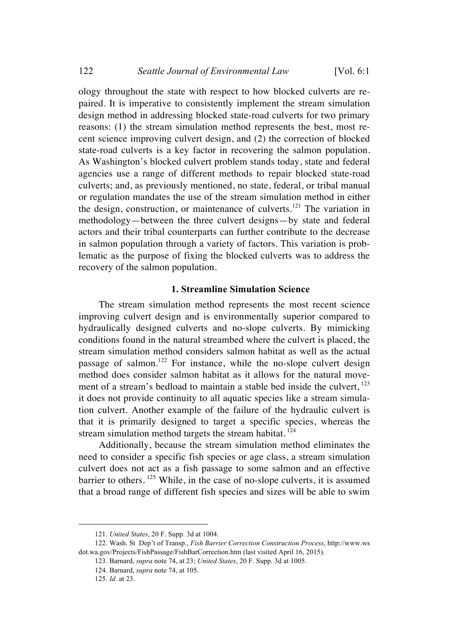ology throughout the state with respect to how blocked culverts are repaired. It is imperative to consistently implement the stream simulation design method in addressing blocked state-road culverts for two primary reasons: (1) the stream simulation method represents the best, most recent science improving culvert design, and (2) the correction of blocked state-road culverts is a key factor in recovering the salmon population. As Washington's blocked culvert problem stands today, state and federal agencies use a range of different methods to repair blocked state-road culverts; and, as previously mentioned, no state, federal, or tribal manual or regulation mandates the use of the stream simulation method in either the design, construction, or maintenance of culverts.<sup>121</sup> The variation in methodology—between the three culvert designs—by state and federal actors and their tribal counterparts can further contribute to the decrease in salmon population through a variety of factors. This variation is problematic as the purpose of fixing the blocked culverts was to address the recovery of the salmon population.

#### **1. Streamline Simulation Science**

The stream simulation method represents the most recent science improving culvert design and is environmentally superior compared to hydraulically designed culverts and no-slope culverts. By mimicking conditions found in the natural streambed where the culvert is placed, the stream simulation method considers salmon habitat as well as the actual passage of salmon.<sup>122</sup> For instance, while the no-slope culvert design method does consider salmon habitat as it allows for the natural movement of a stream's bedload to maintain a stable bed inside the culvert, <sup>123</sup> it does not provide continuity to all aquatic species like a stream simulation culvert. Another example of the failure of the hydraulic culvert is that it is primarily designed to target a specific species, whereas the stream simulation method targets the stream habitat.<sup>124</sup>

Additionally, because the stream simulation method eliminates the need to consider a specific fish species or age class, a stream simulation culvert does not act as a fish passage to some salmon and an effective barrier to others. <sup>125</sup> While, in the case of no-slope culverts, it is assumed that a broad range of different fish species and sizes will be able to swim

 <sup>121.</sup> *United States*, 20 F. Supp. 3d at 1004.

<sup>122.</sup> Wash. St Dep't of Transp., *Fish Barrier Correction Construction Process*, http://www.ws dot.wa.gov/Projects/FishPassage/FishBarCorrection.htm (last visited April 16, 2015).

<sup>123.</sup> Barnard, *supra* note 74, at 23; *United States*, 20 F. Supp. 3d at 1005.

<sup>124.</sup> Barnard, *supra* note 74, at 105.

<sup>125.</sup> *Id.* at 23.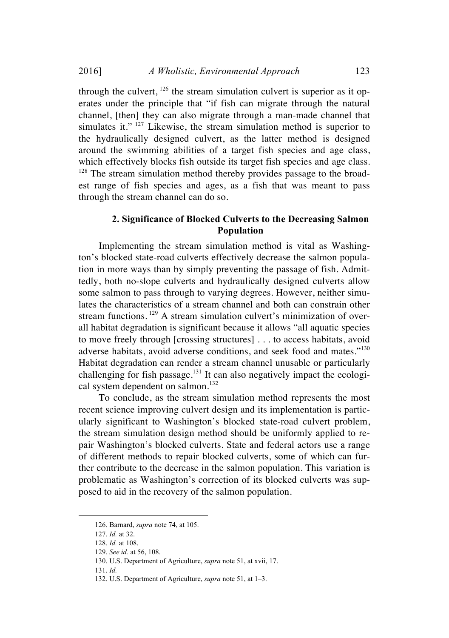through the culvert,  $126$  the stream simulation culvert is superior as it operates under the principle that "if fish can migrate through the natural channel, [then] they can also migrate through a man-made channel that simulates it." <sup>127</sup> Likewise, the stream simulation method is superior to the hydraulically designed culvert, as the latter method is designed around the swimming abilities of a target fish species and age class, which effectively blocks fish outside its target fish species and age class.  $128$  The stream simulation method thereby provides passage to the broad-

est range of fish species and ages, as a fish that was meant to pass through the stream channel can do so.

#### **2. Significance of Blocked Culverts to the Decreasing Salmon Population**

Implementing the stream simulation method is vital as Washington's blocked state-road culverts effectively decrease the salmon population in more ways than by simply preventing the passage of fish. Admittedly, both no-slope culverts and hydraulically designed culverts allow some salmon to pass through to varying degrees. However, neither simulates the characteristics of a stream channel and both can constrain other stream functions. <sup>129</sup> A stream simulation culvert's minimization of overall habitat degradation is significant because it allows "all aquatic species to move freely through [crossing structures] . . . to access habitats, avoid adverse habitats, avoid adverse conditions, and seek food and mates."<sup>130</sup> Habitat degradation can render a stream channel unusable or particularly challenging for fish passage.<sup>131</sup> It can also negatively impact the ecological system dependent on salmon.<sup>132</sup>

To conclude, as the stream simulation method represents the most recent science improving culvert design and its implementation is particularly significant to Washington's blocked state-road culvert problem, the stream simulation design method should be uniformly applied to repair Washington's blocked culverts. State and federal actors use a range of different methods to repair blocked culverts, some of which can further contribute to the decrease in the salmon population. This variation is problematic as Washington's correction of its blocked culverts was supposed to aid in the recovery of the salmon population.

 <sup>126.</sup> Barnard, *supra* note 74, at 105.

<sup>127.</sup> *Id.* at 32.

<sup>128.</sup> *Id.* at 108.

<sup>129.</sup> *See id.* at 56, 108.

<sup>130.</sup> U.S. Department of Agriculture, *supra* note 51, at xvii, 17.

<sup>131.</sup> *Id.*

<sup>132.</sup> U.S. Department of Agriculture, *supra* note 51, at 1–3.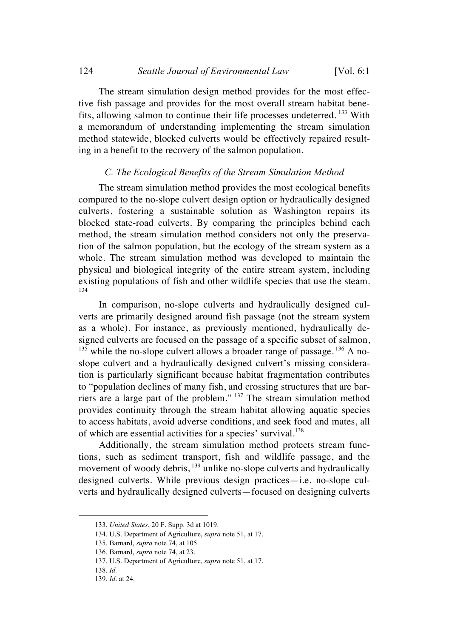The stream simulation design method provides for the most effective fish passage and provides for the most overall stream habitat benefits, allowing salmon to continue their life processes undeterred. <sup>133</sup> With a memorandum of understanding implementing the stream simulation method statewide, blocked culverts would be effectively repaired resulting in a benefit to the recovery of the salmon population.

#### *C. The Ecological Benefits of the Stream Simulation Method*

The stream simulation method provides the most ecological benefits compared to the no-slope culvert design option or hydraulically designed culverts, fostering a sustainable solution as Washington repairs its blocked state-road culverts. By comparing the principles behind each method, the stream simulation method considers not only the preservation of the salmon population, but the ecology of the stream system as a whole. The stream simulation method was developed to maintain the physical and biological integrity of the entire stream system, including existing populations of fish and other wildlife species that use the steam. 134

In comparison, no-slope culverts and hydraulically designed culverts are primarily designed around fish passage (not the stream system as a whole). For instance, as previously mentioned, hydraulically designed culverts are focused on the passage of a specific subset of salmon,  $135$  while the no-slope culvert allows a broader range of passage.  $136$  A noslope culvert and a hydraulically designed culvert's missing consideration is particularly significant because habitat fragmentation contributes to "population declines of many fish, and crossing structures that are barriers are a large part of the problem." <sup>137</sup> The stream simulation method provides continuity through the stream habitat allowing aquatic species to access habitats, avoid adverse conditions, and seek food and mates, all of which are essential activities for a species' survival.<sup>138</sup>

Additionally, the stream simulation method protects stream functions, such as sediment transport, fish and wildlife passage, and the movement of woody debris, <sup>139</sup> unlike no-slope culverts and hydraulically designed culverts. While previous design practices—i.e. no-slope culverts and hydraulically designed culverts—focused on designing culverts

 <sup>133.</sup> *United States*, 20 F. Supp. 3d at 1019.

<sup>134.</sup> U.S. Department of Agriculture, *supra* note 51, at 17.

<sup>135.</sup> Barnard, *supra* note 74, at 105.

<sup>136.</sup> Barnard, *supra* note 74, at 23.

<sup>137.</sup> U.S. Department of Agriculture, *supra* note 51, at 17.

<sup>138.</sup> *Id.*

<sup>139.</sup> *Id*. at 24.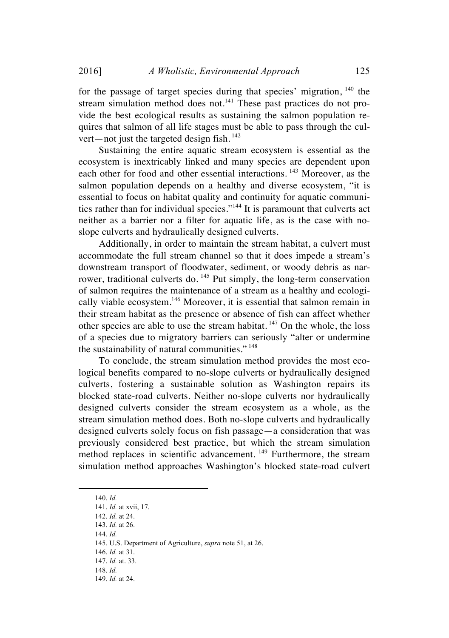for the passage of target species during that species' migration, <sup>140</sup> the stream simulation method does not.<sup>141</sup> These past practices do not provide the best ecological results as sustaining the salmon population requires that salmon of all life stages must be able to pass through the culvert—not just the targeted design fish.<sup>142</sup>

Sustaining the entire aquatic stream ecosystem is essential as the ecosystem is inextricably linked and many species are dependent upon each other for food and other essential interactions. <sup>143</sup> Moreover, as the salmon population depends on a healthy and diverse ecosystem, "it is essential to focus on habitat quality and continuity for aquatic communities rather than for individual species."<sup>144</sup> It is paramount that culverts act neither as a barrier nor a filter for aquatic life, as is the case with noslope culverts and hydraulically designed culverts.

Additionally, in order to maintain the stream habitat, a culvert must accommodate the full stream channel so that it does impede a stream's downstream transport of floodwater, sediment, or woody debris as narrower, traditional culverts do. <sup>145</sup> Put simply, the long-term conservation of salmon requires the maintenance of a stream as a healthy and ecologically viable ecosystem.<sup>146</sup> Moreover, it is essential that salmon remain in their stream habitat as the presence or absence of fish can affect whether other species are able to use the stream habitat. <sup>147</sup> On the whole, the loss of a species due to migratory barriers can seriously "alter or undermine the sustainability of natural communities." <sup>148</sup>

To conclude, the stream simulation method provides the most ecological benefits compared to no-slope culverts or hydraulically designed culverts, fostering a sustainable solution as Washington repairs its blocked state-road culverts. Neither no-slope culverts nor hydraulically designed culverts consider the stream ecosystem as a whole, as the stream simulation method does. Both no-slope culverts and hydraulically designed culverts solely focus on fish passage—a consideration that was previously considered best practice, but which the stream simulation method replaces in scientific advancement.<sup>149</sup> Furthermore, the stream simulation method approaches Washington's blocked state-road culvert

146. *Id.* at 31.

 <sup>140.</sup> *Id.*

<sup>141.</sup> *Id.* at xvii, 17.

<sup>142.</sup> *Id.* at 24.

<sup>143.</sup> *Id.* at 26.

<sup>144.</sup> *Id.*

<sup>145.</sup> U.S. Department of Agriculture, *supra* note 51, at 26.

<sup>147.</sup> *Id.* at. 33.

<sup>148.</sup> *Id.*

<sup>149.</sup> *Id.* at 24.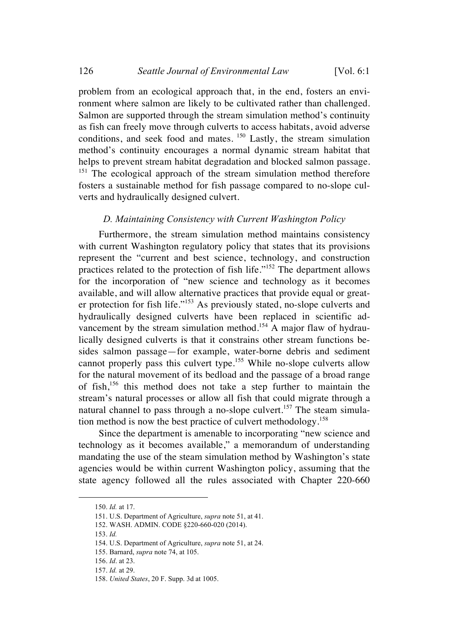problem from an ecological approach that, in the end, fosters an environment where salmon are likely to be cultivated rather than challenged. Salmon are supported through the stream simulation method's continuity as fish can freely move through culverts to access habitats, avoid adverse conditions, and seek food and mates. <sup>150</sup> Lastly, the stream simulation method's continuity encourages a normal dynamic stream habitat that helps to prevent stream habitat degradation and blocked salmon passage. <sup>151</sup> The ecological approach of the stream simulation method therefore fosters a sustainable method for fish passage compared to no-slope cul-

verts and hydraulically designed culvert.

#### *D. Maintaining Consistency with Current Washington Policy*

Furthermore, the stream simulation method maintains consistency with current Washington regulatory policy that states that its provisions represent the "current and best science, technology, and construction practices related to the protection of fish life."<sup>152</sup> The department allows for the incorporation of "new science and technology as it becomes available, and will allow alternative practices that provide equal or greater protection for fish life."<sup>153</sup> As previously stated, no-slope culverts and hydraulically designed culverts have been replaced in scientific advancement by the stream simulation method.<sup>154</sup> A major flaw of hydraulically designed culverts is that it constrains other stream functions besides salmon passage—for example, water-borne debris and sediment cannot properly pass this culvert type.<sup>155</sup> While no-slope culverts allow for the natural movement of its bedload and the passage of a broad range of fish,<sup>156</sup> this method does not take a step further to maintain the stream's natural processes or allow all fish that could migrate through a natural channel to pass through a no-slope culvert.<sup>157</sup> The steam simulation method is now the best practice of culvert methodology.<sup>158</sup>

Since the department is amenable to incorporating "new science and technology as it becomes available," a memorandum of understanding mandating the use of the steam simulation method by Washington's state agencies would be within current Washington policy, assuming that the state agency followed all the rules associated with Chapter 220-660

 <sup>150.</sup> *Id.* at 17.

<sup>151.</sup> U.S. Department of Agriculture, *supra* note 51, at 41.

<sup>152.</sup> WASH. ADMIN. CODE §220-660-020 (2014).

<sup>153.</sup> *Id.*

<sup>154.</sup> U.S. Department of Agriculture, *supra* note 51, at 24.

<sup>155.</sup> Barnard, *supra* note 74, at 105.

<sup>156.</sup> *Id*. at 23.

<sup>157.</sup> *Id.* at 29.

<sup>158.</sup> *United States*, 20 F. Supp. 3d at 1005.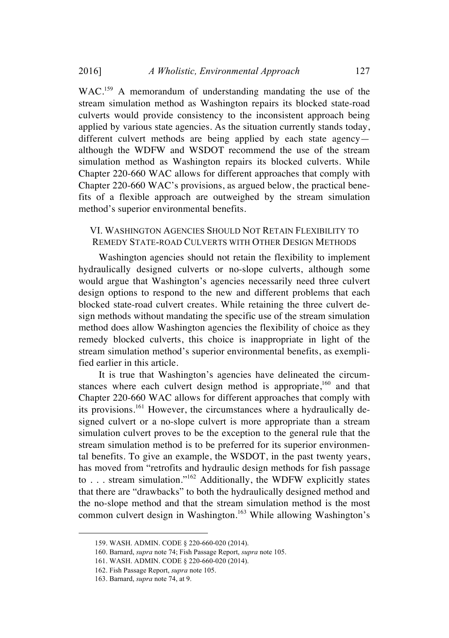WAC.<sup>159</sup> A memorandum of understanding mandating the use of the stream simulation method as Washington repairs its blocked state-road culverts would provide consistency to the inconsistent approach being applied by various state agencies. As the situation currently stands today, different culvert methods are being applied by each state agency although the WDFW and WSDOT recommend the use of the stream simulation method as Washington repairs its blocked culverts. While Chapter 220-660 WAC allows for different approaches that comply with Chapter 220-660 WAC's provisions, as argued below, the practical benefits of a flexible approach are outweighed by the stream simulation method's superior environmental benefits.

#### VI. WASHINGTON AGENCIES SHOULD NOT RETAIN FLEXIBILITY TO REMEDY STATE-ROAD CULVERTS WITH OTHER DESIGN METHODS

Washington agencies should not retain the flexibility to implement hydraulically designed culverts or no-slope culverts, although some would argue that Washington's agencies necessarily need three culvert design options to respond to the new and different problems that each blocked state-road culvert creates. While retaining the three culvert design methods without mandating the specific use of the stream simulation method does allow Washington agencies the flexibility of choice as they remedy blocked culverts, this choice is inappropriate in light of the stream simulation method's superior environmental benefits, as exemplified earlier in this article.

It is true that Washington's agencies have delineated the circumstances where each culvert design method is appropriate,<sup>160</sup> and that Chapter 220-660 WAC allows for different approaches that comply with its provisions.<sup>161</sup> However, the circumstances where a hydraulically designed culvert or a no-slope culvert is more appropriate than a stream simulation culvert proves to be the exception to the general rule that the stream simulation method is to be preferred for its superior environmental benefits. To give an example, the WSDOT, in the past twenty years, has moved from "retrofits and hydraulic design methods for fish passage to . . . stream simulation."<sup>162</sup> Additionally, the WDFW explicitly states that there are "drawbacks" to both the hydraulically designed method and the no-slope method and that the stream simulation method is the most common culvert design in Washington.<sup>163</sup> While allowing Washington's

 <sup>159.</sup> WASH. ADMIN. CODE § 220-660-020 (2014).

<sup>160.</sup> Barnard, *supra* note 74; Fish Passage Report, *supra* note 105.

<sup>161.</sup> WASH. ADMIN. CODE § 220-660-020 (2014).

<sup>162.</sup> Fish Passage Report, *supra* note 105.

<sup>163.</sup> Barnard, *supra* note 74, at 9.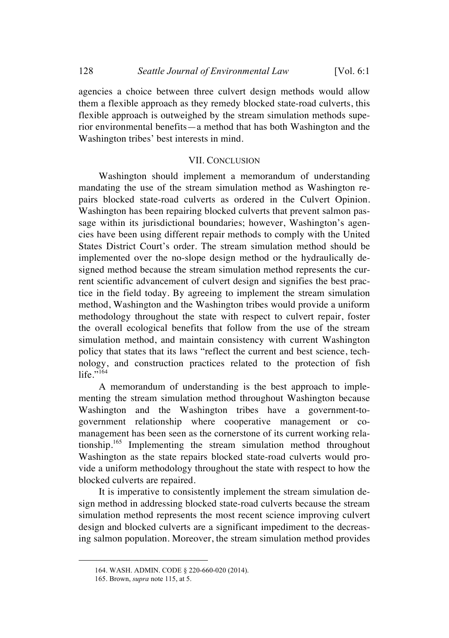agencies a choice between three culvert design methods would allow them a flexible approach as they remedy blocked state-road culverts, this flexible approach is outweighed by the stream simulation methods superior environmental benefits—a method that has both Washington and the Washington tribes' best interests in mind.

#### VII. CONCLUSION

Washington should implement a memorandum of understanding mandating the use of the stream simulation method as Washington repairs blocked state-road culverts as ordered in the Culvert Opinion. Washington has been repairing blocked culverts that prevent salmon passage within its jurisdictional boundaries; however, Washington's agencies have been using different repair methods to comply with the United States District Court's order. The stream simulation method should be implemented over the no-slope design method or the hydraulically designed method because the stream simulation method represents the current scientific advancement of culvert design and signifies the best practice in the field today. By agreeing to implement the stream simulation method, Washington and the Washington tribes would provide a uniform methodology throughout the state with respect to culvert repair, foster the overall ecological benefits that follow from the use of the stream simulation method, and maintain consistency with current Washington policy that states that its laws "reflect the current and best science, technology, and construction practices related to the protection of fish  $l$ ife $\overline{1}$ <sup>164</sup>

A memorandum of understanding is the best approach to implementing the stream simulation method throughout Washington because Washington and the Washington tribes have a government-togovernment relationship where cooperative management or comanagement has been seen as the cornerstone of its current working relationship.<sup>165</sup> Implementing the stream simulation method throughout Washington as the state repairs blocked state-road culverts would provide a uniform methodology throughout the state with respect to how the blocked culverts are repaired.

It is imperative to consistently implement the stream simulation design method in addressing blocked state-road culverts because the stream simulation method represents the most recent science improving culvert design and blocked culverts are a significant impediment to the decreasing salmon population. Moreover, the stream simulation method provides

 <sup>164.</sup> WASH. ADMIN. CODE § 220-660-020 (2014).

<sup>165.</sup> Brown, *supra* note 115, at 5.